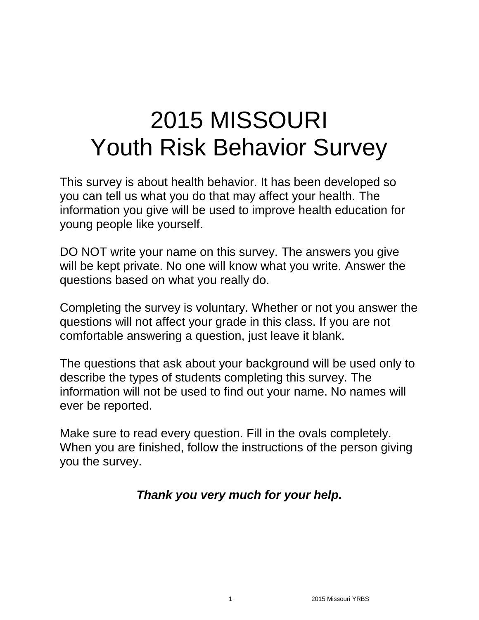# 2015 MISSOURI Youth Risk Behavior Survey

This survey is about health behavior. It has been developed so you can tell us what you do that may affect your health. The information you give will be used to improve health education for young people like yourself.

DO NOT write your name on this survey. The answers you give will be kept private. No one will know what you write. Answer the questions based on what you really do.

Completing the survey is voluntary. Whether or not you answer the questions will not affect your grade in this class. If you are not comfortable answering a question, just leave it blank.

The questions that ask about your background will be used only to describe the types of students completing this survey. The information will not be used to find out your name. No names will ever be reported.

Make sure to read every question. Fill in the ovals completely. When you are finished, follow the instructions of the person giving you the survey.

# *Thank you very much for your help.*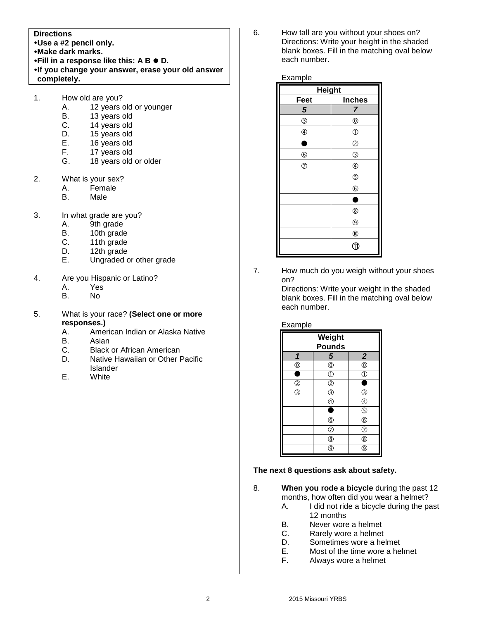#### **Directions**

- **Use a #2 pencil only.**
- **Make dark marks.**
- **•Fill in a response like this: A B**  $\bullet$  **D.**
- **If you change your answer, erase your old answer completely.**
- 1. How old are you?
	- A. 12 years old or younger
	- B. 13 years old
	- C. 14 years old
	- D. 15 years old<br>E. 16 years old
	- 16 years old
	- F. 17 years old
	- G. 18 years old or older
- 2. What is your sex?
	- A. Female
	- B. Male
- 3. In what grade are you?
	- A. 9th grade
	- B. 10th grade
	- C. 11th grade
	- D. 12th grade
	- E. Ungraded or other grade
- 4. Are you Hispanic or Latino?
	- A. Yes
	- B. No
- 5. What is your race? **(Select one or more responses.)**
	- A. American Indian or Alaska Native
	- B. Asian
	- C. Black or African American
	- D. Native Hawaiian or Other Pacific **Islander**
	- E. White

6. How tall are you without your shoes on? Directions: Write your height in the shaded blank boxes. Fill in the matching oval below each number.

#### Example

| <b>Height</b>  |                |  |
|----------------|----------------|--|
| Feet           | <b>Inches</b>  |  |
| 5              | 7              |  |
| $\circledS$    | $^{\circledR}$ |  |
| $^{\circledR}$ | $\circled{0}$  |  |
|                | $^{\circledR}$ |  |
| $^{\circledR}$ | $\circledS$    |  |
| $\circledcirc$ | $^{\circledR}$ |  |
|                | $\circledS$    |  |
|                | $^{\circledR}$ |  |
|                | ٠              |  |
|                | $^{\circledR}$ |  |
|                | $^{\circledR}$ |  |
|                | $^{\circledR}$ |  |
|                | ſÌ             |  |

7. How much do you weigh without your shoes on?

Directions: Write your weight in the shaded blank boxes. Fill in the matching oval below each number.

#### Example

| <b>Weight</b>                             |                         |                         |
|-------------------------------------------|-------------------------|-------------------------|
| <b>Pounds</b>                             |                         |                         |
|                                           | $\overline{\mathbf{5}}$ | $\overline{2}$          |
| $^\copyright$                             | $^{\circledR}$          | $\circledcirc$          |
| £                                         | $\mathbb{C}$            | $\overline{\mathbb{O}}$ |
| $\overline{\textcircled{2}}$              | $\circled{2}$           |                         |
| $\overline{\textcircled{\scriptsize{3}}}$ | ③                       | <sup>3</sup>            |
|                                           | C                       | ⊕                       |
|                                           |                         | $\overline{\mathbb{G}}$ |
|                                           | $^\copyright$           | $^{\copyright}$         |
|                                           | T                       | T                       |
|                                           | ®                       | ®                       |
|                                           | วิ                      | 9                       |

#### **The next 8 questions ask about safety.**

- 8. **When you rode a bicycle** during the past 12 months, how often did you wear a helmet?
	- A. I did not ride a bicycle during the past 12 months
	- B. Never wore a helmet
	- C. Rarely wore a helmet
	- D. Sometimes wore a helmet
	- E. Most of the time wore a helmet
	- F. Always wore a helmet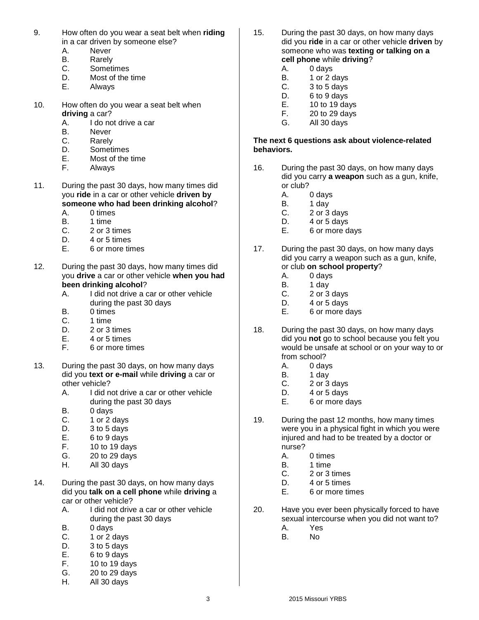- 9. How often do you wear a seat belt when **riding**  in a car driven by someone else?
	- A. Never
	- B. Rarely
	- C. Sometimes
	- D. Most of the time
	- E. Always
- 10. How often do you wear a seat belt when **driving** a car?
	- A. I do not drive a car
	- B. Never
	- C. Rarely
	- D. Sometimes
	- E. Most of the time<br>F. Always
	- **Always**
- 11. During the past 30 days, how many times did you **ride** in a car or other vehicle **driven by someone who had been drinking alcohol**?
	- A. 0 times B. 1 time
	-
	- C. 2 or 3 times
	- D. 4 or 5 times
	- E. 6 or more times
- 12. During the past 30 days, how many times did you **drive** a car or other vehicle **when you had been drinking alcohol**?
	- A. I did not drive a car or other vehicle during the past 30 days
	- B. 0 times
	- C. 1 time
	- D. 2 or 3 times
	- E. 4 or 5 times
	- F. 6 or more times
- 13. During the past 30 days, on how many days did you **text or e-mail** while **driving** a car or other vehicle?
	- A. I did not drive a car or other vehicle during the past 30 days
	- B. 0 days
	- C. 1 or 2 days
	- D. 3 to 5 days
	- E. 6 to 9 days
	- F. 10 to 19 days
	- G. 20 to 29 days<br>H. All 30 days
	- All 30 days
- 14. During the past 30 days, on how many days did you **talk on a cell phone** while **driving** a car or other vehicle?
	- A. I did not drive a car or other vehicle during the past 30 days
	- B. 0 days
	- C. 1 or 2 days
	- D. 3 to 5 days
	- E. 6 to 9 days<br>F. 10 to 19 da
	- 10 to 19 days
	- G. 20 to 29 days
	- H. All 30 days
- 15. During the past 30 days, on how many days did you **ride** in a car or other vehicle **driven** by someone who was **texting or talking on a cell phone** while **driving**?
	- A. 0 days<br>B. 1 or 2 o
		- 1 or 2 days
	- C. 3 to 5 days
	- D. 6 to 9 days
	- E. 10 to 19 days
	- F. 20 to 29 days
	- G. All 30 days

#### **The next 6 questions ask about violence-related behaviors.**

- 16. During the past 30 days, on how many days did you carry **a weapon** such as a gun, knife, or club?
	- A. 0 days
	- B. 1 day
	- C. 2 or 3 days
	- D. 4 or 5 days
	- E. 6 or more days
- 17. During the past 30 days, on how many days did you carry a weapon such as a gun, knife, or club **on school property**?
	- A. 0 days
	- B. 1 day
	- C. 2 or 3 days
	- D. 4 or 5 days
	- E. 6 or more days
- 18. During the past 30 days, on how many days did you **not** go to school because you felt you would be unsafe at school or on your way to or from school?
	- A. 0 days
	- B. 1 day<br>C. 2 or 3
	- 2 or 3 days
	- D. 4 or 5 days
	- E. 6 or more days
- 19. During the past 12 months, how many times were you in a physical fight in which you were injured and had to be treated by a doctor or nurse?
	- A. 0 times
	- B. 1 time
	- C. 2 or 3 times
	- D. 4 or 5 times
	- E. 6 or more times
- 20. Have you ever been physically forced to have sexual intercourse when you did not want to?
	- A. Yes
	- B. No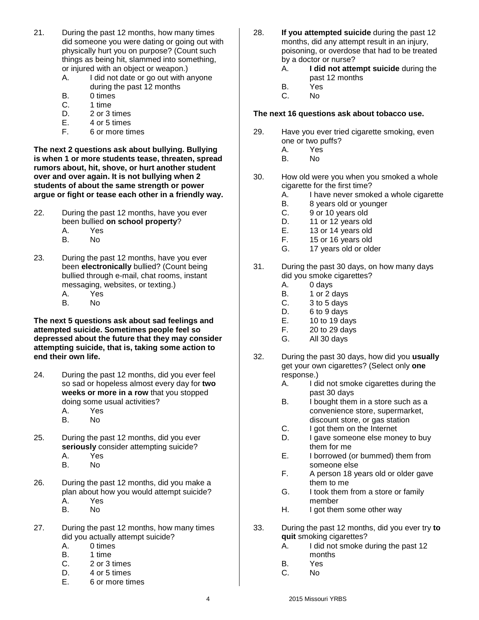- 21. During the past 12 months, how many times did someone you were dating or going out with physically hurt you on purpose? (Count such things as being hit, slammed into something, or injured with an object or weapon.)
	- A. I did not date or go out with anyone during the past 12 months
	- B. 0 times
	- C. 1 time
	- D. 2 or 3 times
	- E. 4 or 5 times
	- F. 6 or more times

**The next 2 questions ask about bullying. Bullying is when 1 or more students tease, threaten, spread rumors about, hit, shove, or hurt another student over and over again. It is not bullying when 2 students of about the same strength or power argue or fight or tease each other in a friendly way.**

- 22. During the past 12 months, have you ever been bullied **on school property**? A. Yes
	- B. No
- 23. During the past 12 months, have you ever been **electronically** bullied? (Count being bullied through e-mail, chat rooms, instant messaging, websites, or texting.) A. Yes
	- B. No

**The next 5 questions ask about sad feelings and attempted suicide. Sometimes people feel so depressed about the future that they may consider attempting suicide, that is, taking some action to end their own life.**

- 24. During the past 12 months, did you ever feel so sad or hopeless almost every day for **two weeks or more in a row** that you stopped doing some usual activities? A. Yes
	- B. No
- 25. During the past 12 months, did you ever **seriously** consider attempting suicide?
	- A. Yes
	- B. No
- 26. During the past 12 months, did you make a plan about how you would attempt suicide? A. Yes
	- B. No
- 27. During the past 12 months, how many times did you actually attempt suicide?
	- A. 0 times
	- B. 1 time
	- C. 2 or 3 times
	- D. 4 or 5 times
	- E. 6 or more times
- 28. **If you attempted suicide** during the past 12 months, did any attempt result in an injury, poisoning, or overdose that had to be treated by a doctor or nurse?
	- A. **I did not attempt suicide** during the past 12 months
	- B. Yes
	- C. No

#### **The next 16 questions ask about tobacco use.**

- 29. Have you ever tried cigarette smoking, even one or two puffs?
	- A. Yes
	- B. No
- 30. How old were you when you smoked a whole cigarette for the first time?
	- A. I have never smoked a whole cigarette
	- B. 8 years old or younger
	- C. 9 or 10 years old
	- D. 11 or 12 years old
	- E. 13 or 14 years old
	- F. 15 or 16 years old
	- G. 17 years old or older
- 31. During the past 30 days, on how many days did you smoke cigarettes?
	- A. 0 days
	- B. 1 or 2 days
	- C. 3 to 5 days
	- D. 6 to 9 days
	- E. 10 to 19 days
	- F. 20 to 29 days
	- G. All 30 days
- 32. During the past 30 days, how did you **usually** get your own cigarettes? (Select only **one** response.)
	- A. I did not smoke cigarettes during the past 30 days
	- B. I bought them in a store such as a convenience store, supermarket, discount store, or gas station
	- C. I got them on the Internet
	- D. I gave someone else money to buy them for me
	- E. I borrowed (or bummed) them from someone else
	- F. A person 18 years old or older gave them to me
	- G. I took them from a store or family member
	- H. I got them some other way
- 33. During the past 12 months, did you ever try **to quit** smoking cigarettes?
	- A. I did not smoke during the past 12 months
	- B. Yes
	- C. No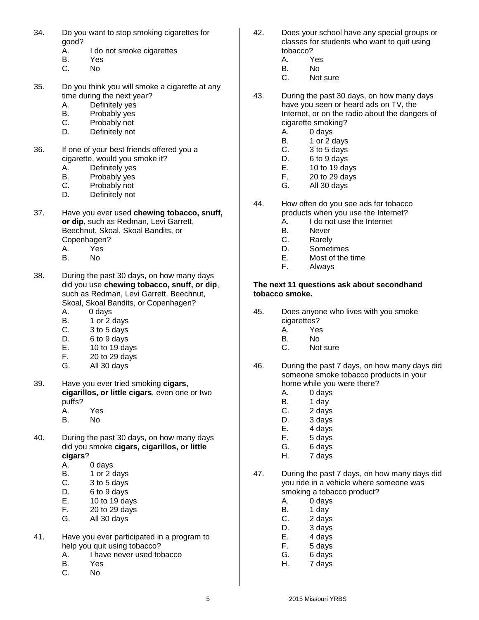- 34. Do you want to stop smoking cigarettes for good?
	- A. I do not smoke cigarettes
	- B. Yes
	- C. No
- 35. Do you think you will smoke a cigarette at any time during the next year?
	- A. Definitely yes
	- B. Probably yes
	- C. Probably not
	- D. Definitely not
- 36. If one of your best friends offered you a cigarette, would you smoke it?
	- A. Definitely yes
	- B. Probably yes
	- C. Probably not
	- D. Definitely not
- 37. Have you ever used **chewing tobacco, snuff, or dip**, such as Redman, Levi Garrett, Beechnut, Skoal, Skoal Bandits, or Copenhagen? A. Yes
	- B. No
- 38. During the past 30 days, on how many days did you use **chewing tobacco, snuff, or dip**, such as Redman, Levi Garrett, Beechnut, Skoal, Skoal Bandits, or Copenhagen?
	- A. 0 days
	- B. 1 or 2 days
	- C. 3 to 5 days
	- D. 6 to 9 days
	- E. 10 to 19 days
	- F. 20 to 29 days
	- G. All 30 days
- 39. Have you ever tried smoking **cigars, cigarillos, or little cigars**, even one or two puffs? A. Yes
	-
	- B. No
- 40. During the past 30 days, on how many days did you smoke **cigars, cigarillos, or little cigars**?
	- A. 0 days
	- B. 1 or 2 days
	- C. 3 to 5 days
	- D. 6 to 9 days
	- E. 10 to 19 days
	- F. 20 to 29 days
	- G. All 30 days
- 41. Have you ever participated in a program to help you quit using tobacco?
	- A. I have never used tobacco
	- B. Yes
	- C. No
- 42. Does your school have any special groups or classes for students who want to quit using tobacco?
	- A. Yes
	- B. No<br>C. Not
	- Not sure
- 43. During the past 30 days, on how many days have you seen or heard ads on TV, the Internet, or on the radio about the dangers of cigarette smoking?
	- A. 0 days
	- B. 1 or 2 days
	- C. 3 to 5 days
	- D. 6 to 9 days
	- E. 10 to 19 days
	- F. 20 to 29 days
	- G. All 30 days
- 44. How often do you see ads for tobacco products when you use the Internet?
	- A. I do not use the Internet
	- B. Never
	- C. Rarely
	- D. Sometimes
	- E. Most of the time
	- F. Always

#### **The next 11 questions ask about secondhand tobacco smoke.**

- 45. Does anyone who lives with you smoke cigarettes?
	- A. Yes
	- B. No
	- C. Not sure
- 46. During the past 7 days, on how many days did someone smoke tobacco products in your home while you were there?
	- A. 0 days
	- B. 1 day
	- C. 2 days
	- D. 3 days
	- E. 4 days
	- F. 5 days
	- G. 6 days
	- H. 7 days
- 47. During the past 7 days, on how many days did you ride in a vehicle where someone was smoking a tobacco product?
	- A. 0 days
	- B. 1 day
	- C. 2 days
	- D. 3 days
	- E. 4 days
	- F. 5 days
	- G. 6 days
	- H. 7 days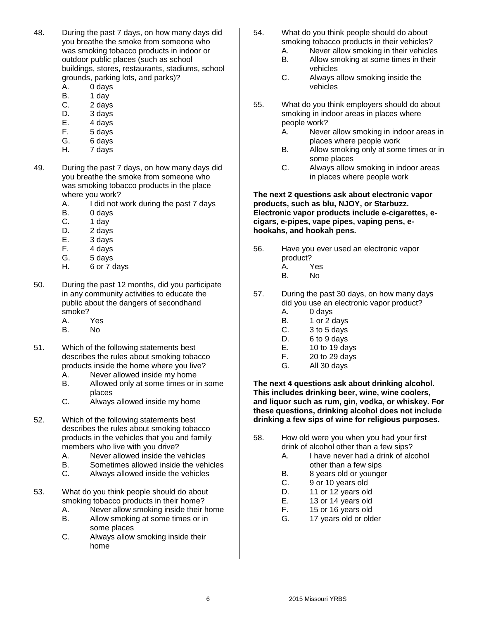- 48. During the past 7 days, on how many days did you breathe the smoke from someone who was smoking tobacco products in indoor or outdoor public places (such as school buildings, stores, restaurants, stadiums, school grounds, parking lots, and parks)?
	- A. 0 days
	- B. 1 day
	- C. 2 days
	- D. 3 days
	- E. 4 days
	- F. 5 days
	- G. 6 days H. 7 days
- 49. During the past 7 days, on how many days did you breathe the smoke from someone who was smoking tobacco products in the place where you work?
	- A. I did not work during the past 7 days
	- B. 0 days
	- C. 1 day
	- D. 2 days
	- E. 3 days
	- F. 4 days
	- G. 5 days
	- H. 6 or 7 days
- 50. During the past 12 months, did you participate in any community activities to educate the public about the dangers of secondhand smoke?
	- A. Yes
	- B. No
- 51. Which of the following statements best describes the rules about smoking tobacco products inside the home where you live?
	- A. Never allowed inside my home<br>B. Allowed only at some times or i
	- Allowed only at some times or in some places
	- C. Always allowed inside my home
- 52. Which of the following statements best describes the rules about smoking tobacco products in the vehicles that you and family members who live with you drive?
	- A. Never allowed inside the vehicles
	- B. Sometimes allowed inside the vehicles
	- C. Always allowed inside the vehicles
- 53. What do you think people should do about smoking tobacco products in their home?
	- A. Never allow smoking inside their home
	- B. Allow smoking at some times or in some places
	- C. Always allow smoking inside their home
- 54. What do you think people should do about smoking tobacco products in their vehicles?
	- A. Never allow smoking in their vehicles
	- B. Allow smoking at some times in their vehicles
	- C. Always allow smoking inside the vehicles
- 55. What do you think employers should do about smoking in indoor areas in places where people work?
	- A. Never allow smoking in indoor areas in places where people work
	- B. Allow smoking only at some times or in some places
	- C. Always allow smoking in indoor areas in places where people work

#### **The next 2 questions ask about electronic vapor products, such as blu, NJOY, or Starbuzz. Electronic vapor products include e-cigarettes, ecigars, e-pipes, vape pipes, vaping pens, ehookahs, and hookah pens.**

- 56. Have you ever used an electronic vapor product?
	- A. Yes
	- B. No
- 57. During the past 30 days, on how many days did you use an electronic vapor product?
	- A. 0 days
	- B. 1 or 2 days
	- C. 3 to 5 days
	- D. 6 to 9 days
	- E. 10 to 19 days
	- F. 20 to 29 days
	- G. All 30 days

**The next 4 questions ask about drinking alcohol. This includes drinking beer, wine, wine coolers, and liquor such as rum, gin, vodka, or whiskey. For these questions, drinking alcohol does not include drinking a few sips of wine for religious purposes.**

- 58. How old were you when you had your first drink of alcohol other than a few sips?
	- A. I have never had a drink of alcohol other than a few sips
		-
		- B. 8 years old or younger<br>C. 9 or 10 years old 9 or 10 years old
		- D. 11 or 12 years old
		- E. 13 or 14 years old
		- F. 15 or 16 years old
		- G. 17 years old or older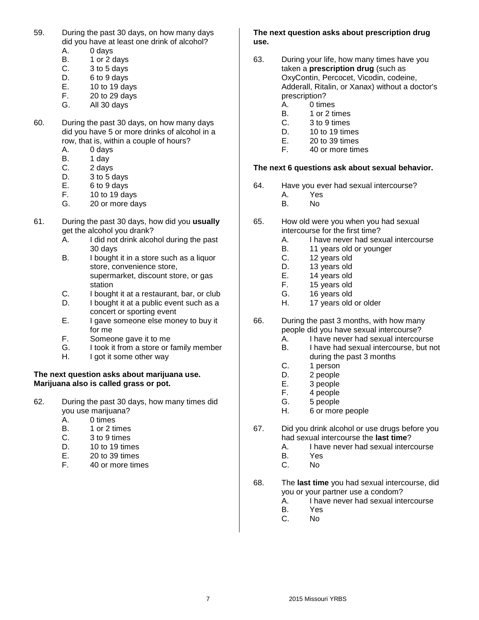- 59. During the past 30 days, on how many days did you have at least one drink of alcohol?
	- A. 0 days
	- B. 1 or 2 days
	- $C.$  3 to 5 days<br>D. 6 to 9 days
	- $6$  to  $9$  days
	- E. 10 to 19 days F. 20 to 29 days
	-
	- G. All 30 days
- 60. During the past 30 days, on how many days did you have 5 or more drinks of alcohol in a row, that is, within a couple of hours?
	- A. 0 days
	- B. 1 day
	- C. 2 days
	- D. 3 to 5 days
	- E. 6 to 9 days
	- F. 10 to 19 days<br>G. 20 or more da
	- 20 or more days
- 61. During the past 30 days, how did you **usually** get the alcohol you drank?
	- A. I did not drink alcohol during the past 30 days
	- B. I bought it in a store such as a liquor store, convenience store, supermarket, discount store, or gas station
	- C. I bought it at a restaurant, bar, or club
	- D. I bought it at a public event such as a concert or sporting event
	- E. I gave someone else money to buy it for me
	- F. Someone gave it to me
	- G. I took it from a store or family member
	- H. I got it some other way

#### **The next question asks about marijuana use. Marijuana also is called grass or pot.**

62. During the past 30 days, how many times did you use marijuana?

A. 0 times

- B. 1 or 2 times
- C. 3 to 9 times
- D. 10 to 19 times
- 
- E. 20 to 39 times<br>F. 40 or more time 40 or more times

#### **The next question asks about prescription drug use.**

- 63. During your life, how many times have you taken a **prescription drug** (such as OxyContin, Percocet, Vicodin, codeine, Adderall, Ritalin, or Xanax) without a doctor's prescription?
	- A. 0 times
	- B. 1 or 2 times
	- C. 3 to 9 times
	- D. 10 to 19 times
	- E. 20 to 39 times
	- F. 40 or more times

#### **The next 6 questions ask about sexual behavior.**

- 64. Have you ever had sexual intercourse?
	- A. Yes
	- B. No
- 65. How old were you when you had sexual intercourse for the first time?
	- A. I have never had sexual intercourse
	- B. 11 years old or younger
	- C. 12 years old
	- D. 13 years old
	- E. 14 years old
	- F. 15 years old
	- G. 16 years old
	- H. 17 years old or older
- 66. During the past 3 months, with how many people did you have sexual intercourse?
	- A. I have never had sexual intercourse
	- B. I have had sexual intercourse, but not during the past 3 months
	- C. 1 person
	-
	- D. 2 people<br>E. 3 people 3 people
	- F. 4 people
	- G. 5 people
	- H. 6 or more people
- 67. Did you drink alcohol or use drugs before you had sexual intercourse the **last time**?
	- A. I have never had sexual intercourse
	- B. Yes
	- C. No
- 68. The **last time** you had sexual intercourse, did you or your partner use a condom?
	- A. I have never had sexual intercourse
	- B. Yes
	- C. No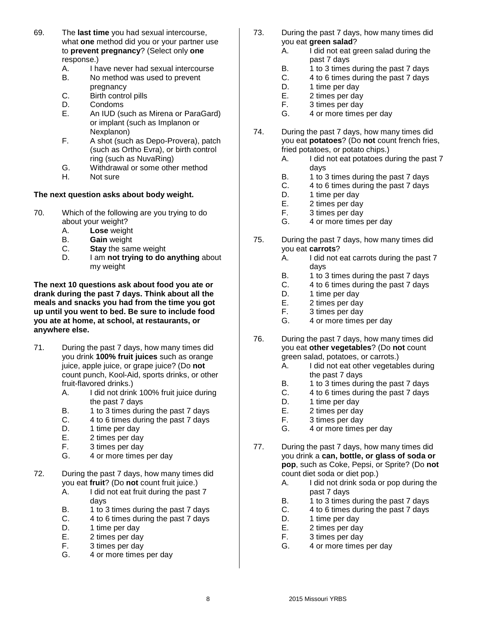- 69. The **last time** you had sexual intercourse, what **one** method did you or your partner use to **prevent pregnancy**? (Select only **one**  response.)
	- A. I have never had sexual intercourse
	- B. No method was used to prevent pregnancy
	- C. Birth control pills
	- D. Condoms
	- E. An IUD (such as Mirena or ParaGard) or implant (such as Implanon or Nexplanon)
	- F. A shot (such as Depo-Provera), patch (such as Ortho Evra), or birth control ring (such as NuvaRing)
	- G. Withdrawal or some other method
	- H. Not sure

#### **The next question asks about body weight.**

- 70. Which of the following are you trying to do about your weight?
	- A. **Lose** weight
	- B. **Gain** weight
	- C. **Stay** the same weight
	- D. I am **not trying to do anything** about my weight

**The next 10 questions ask about food you ate or drank during the past 7 days. Think about all the meals and snacks you had from the time you got up until you went to bed. Be sure to include food you ate at home, at school, at restaurants, or anywhere else.**

- 71. During the past 7 days, how many times did you drink **100% fruit juices** such as orange juice, apple juice, or grape juice? (Do **not** count punch, Kool-Aid, sports drinks, or other fruit-flavored drinks.)
	- A. I did not drink 100% fruit juice during the past 7 days
	- B. 1 to 3 times during the past 7 days
	- C. 4 to 6 times during the past 7 days
	- D. 1 time per day
	- E. 2 times per day
	- F. 3 times per day
	- G. 4 or more times per day
- 72. During the past 7 days, how many times did you eat **fruit**? (Do **not** count fruit juice.)
	- A. I did not eat fruit during the past 7 days
	- B. 1 to 3 times during the past 7 days
	- C. 4 to 6 times during the past 7 days
	- D. 1 time per day
	- E. 2 times per day
	- F. 3 times per day
	- G. 4 or more times per day
- 73. During the past 7 days, how many times did you eat **green salad**?
	- A. I did not eat green salad during the past 7 days
	- B. 1 to 3 times during the past 7 days<br>C. 4 to 6 times during the past 7 days
	- 4 to 6 times during the past 7 days
	- D. 1 time per day
	- E. 2 times per day
	- F. 3 times per day
	- G. 4 or more times per day
- 74. During the past 7 days, how many times did you eat **potatoes**? (Do **not** count french fries, fried potatoes, or potato chips.)
	- A. I did not eat potatoes during the past 7 days
	- B. 1 to 3 times during the past 7 days
	- C. 4 to 6 times during the past 7 days
	- D. 1 time per day
	- E. 2 times per day
	- F. 3 times per day
	- G. 4 or more times per day
- 75. During the past 7 days, how many times did you eat **carrots**?
	- A. I did not eat carrots during the past 7 days
	- B. 1 to 3 times during the past 7 days
	- C. 4 to 6 times during the past 7 days
	- D. 1 time per day
	- E. 2 times per day
	- F. 3 times per day
	- G. 4 or more times per day
- 76. During the past 7 days, how many times did you eat **other vegetables**? (Do **not** count green salad, potatoes, or carrots.)
	- A. I did not eat other vegetables during the past 7 days
	- B. 1 to 3 times during the past 7 days
	- C. 4 to 6 times during the past 7 days
	- D. 1 time per day
	- E. 2 times per day
	- F. 3 times per day
	- G. 4 or more times per day
- 77. During the past 7 days, how many times did you drink a **can, bottle, or glass of soda or pop**, such as Coke, Pepsi, or Sprite? (Do **not** count diet soda or diet pop.)
	- A. I did not drink soda or pop during the past 7 days
	- B. 1 to 3 times during the past 7 days
	- C. 4 to 6 times during the past 7 days
	- D. 1 time per day
	- E. 2 times per day
	- F. 3 times per day
	- G. 4 or more times per day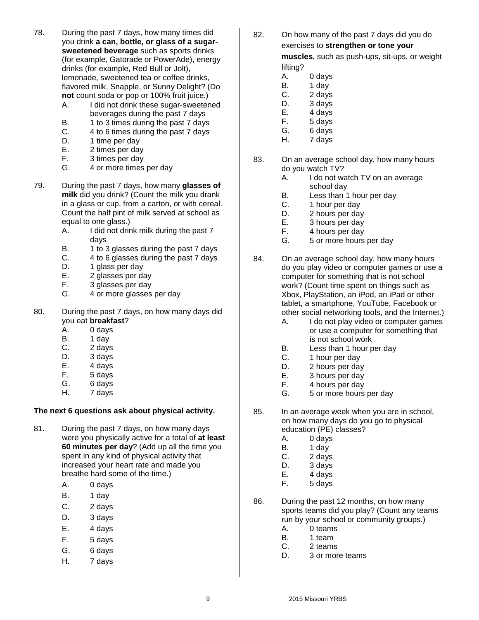- 78. During the past 7 days, how many times did you drink **a can, bottle, or glass of a sugarsweetened beverage** such as sports drinks (for example, Gatorade or PowerAde), energy drinks (for example, Red Bull or Jolt), lemonade, sweetened tea or coffee drinks, flavored milk, Snapple, or Sunny Delight? (Do **not** count soda or pop or 100% fruit juice.)
	- A. I did not drink these sugar-sweetened beverages during the past 7 days
	- B. 1 to 3 times during the past 7 days
	- C. 4 to 6 times during the past 7 days
	- D. 1 time per day
	- E. 2 times per day
	- F. 3 times per day
	- G. 4 or more times per day
- 79. During the past 7 days, how many **glasses of milk** did you drink? (Count the milk you drank in a glass or cup, from a carton, or with cereal. Count the half pint of milk served at school as equal to one glass.)
	- A. I did not drink milk during the past 7 days
	- B. 1 to 3 glasses during the past 7 days
	- C. 4 to 6 glasses during the past 7 days
	- D. 1 glass per day
	- E. 2 glasses per day
	- F. 3 glasses per day
	- G. 4 or more glasses per day
- 80. During the past 7 days, on how many days did you eat **breakfast**?
	- A. 0 days
	- B. 1 day
	- C. 2 days
	- D. 3 days
	- E. 4 days
	- F. 5 days
	- G. 6 days
	- H. 7 days

#### **The next 6 questions ask about physical activity.**

- 81. During the past 7 days, on how many days were you physically active for a total of **at least 60 minutes per day**? (Add up all the time you spent in any kind of physical activity that increased your heart rate and made you breathe hard some of the time.)
	- A. 0 days
	- B. 1 day
	- $C.$  2 days
	- D. 3 days
	- E. 4 days
	- F. 5 days
	- G. 6 days
	- H. 7 days

82. On how many of the past 7 days did you do exercises to **strengthen or tone your muscles**, such as push-ups, sit-ups, or weight

#### lifting?

- A. 0 days
- B. 1 day
- C. 2 days
- D. 3 days
- E. 4 days F. 5 days
- G. 6 days
- H. 7 days
- 83. On an average school day, how many hours do you watch TV?
	- A. I do not watch TV on an average school day
	- B. Less than 1 hour per day
	- C. 1 hour per day
	- D. 2 hours per day
	- E. 3 hours per day
	- F. 4 hours per day
	- G. 5 or more hours per day
- 84. On an average school day, how many hours do you play video or computer games or use a computer for something that is not school work? (Count time spent on things such as Xbox, PlayStation, an iPod, an iPad or other tablet, a smartphone, YouTube, Facebook or other social networking tools, and the Internet.)
	- A. I do not play video or computer games or use a computer for something that is not school work
	- B. Less than 1 hour per day
	- C. 1 hour per day
	- D. 2 hours per day
	- E. 3 hours per day
	- F. 4 hours per day
	- G. 5 or more hours per day
- 85. In an average week when you are in school, on how many days do you go to physical education (PE) classes?
	- A. 0 days
	- B. 1 day
	- C. 2 days
	- D. 3 days
	- E. 4 days
	- F. 5 days
- 86. During the past 12 months, on how many sports teams did you play? (Count any teams run by your school or community groups.)
	- A. 0 teams
	- B. 1 team
	- C. 2 teams
	- D. 3 or more teams